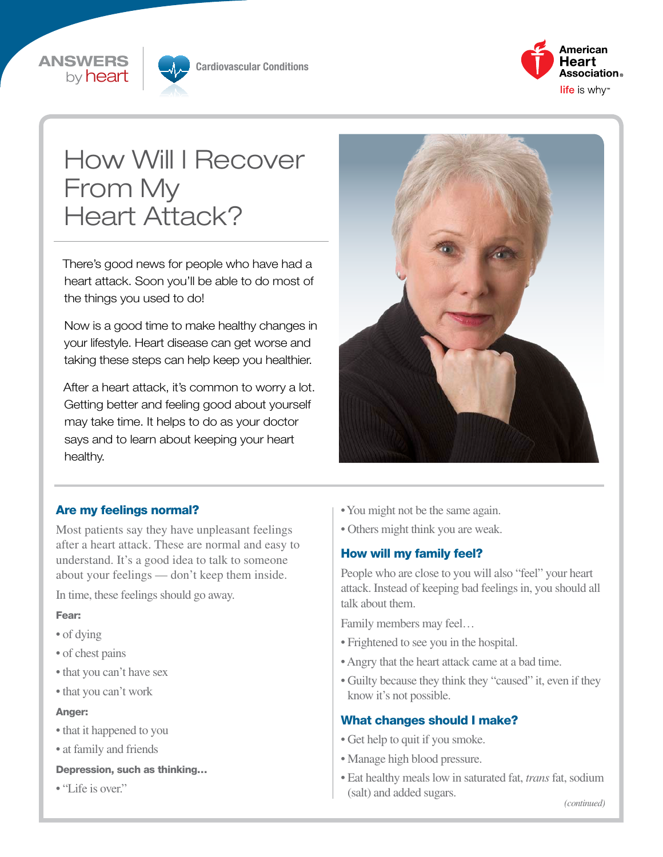



Cardiovascular Conditions



# How Will I Recover From My Heart Attack?

There's good news for people who have had a heart attack. Soon you'll be able to do most of the things you used to do!

Now is a good time to make healthy changes in your lifestyle. Heart disease can get worse and taking these steps can help keep you healthier.

After a heart attack, it's common to worry a lot. Getting better and feeling good about yourself may take time. It helps to do as your doctor says and to learn about keeping your heart healthy.



## Are my feelings normal?

Most patients say they have unpleasant feelings after a heart attack. These are normal and easy to understand. It's a good idea to talk to someone about your feelings — don't keep them inside.

In time, these feelings should go away.

### Fear:

- of dying
- of chest pains
- that you can't have sex
- that you can't work

#### Anger:

- that it happened to you
- at family and friends

#### Depression, such as thinking…

• "Life is over."

- You might not be the same again.
- Others might think you are weak.

## How will my family feel?

People who are close to you will also "feel" your heart attack. Instead of keeping bad feelings in, you should all talk about them.

Family members may feel…

- Frightened to see you in the hospital.
- Angry that the heart attack came at a bad time.
- Guilty because they think they "caused" it, even if they know it's not possible.

### What changes should I make?

- Get help to quit if you smoke.
- Manage high blood pressure.
- Eat healthy meals low in saturated fat, *trans* fat, sodium (salt) and added sugars.